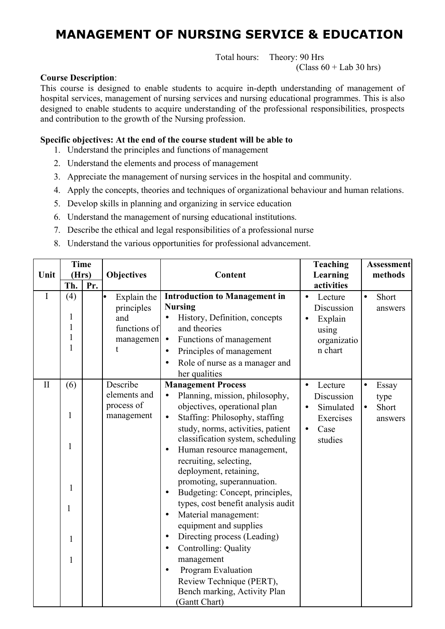# **MANAGEMENT OF NURSING SERVICE & EDUCATION**

Total hours: Theory: 90 Hrs

 $(Class 60 + Lab 30 hrs)$ 

#### **Course Description**:

This course is designed to enable students to acquire in-depth understanding of management of hospital services, management of nursing services and nursing educational programmes. This is also designed to enable students to acquire understanding of the professional responsibilities, prospects and contribution to the growth of the Nursing profession.

#### **Specific objectives: At the end of the course student will be able to**

- 1. Understand the principles and functions of management
- 2. Understand the elements and process of management
- 3. Appreciate the management of nursing services in the hospital and community.
- 4. Apply the concepts, theories and techniques of organizational behaviour and human relations.
- 5. Develop skills in planning and organizing in service education
- 6. Understand the management of nursing educational institutions.
- 7. Describe the ethical and legal responsibilities of a professional nurse
- 8. Understand the various opportunities for professional advancement.

|              | <b>Time</b>  |                                       |                           |                                                                        | <b>Teaching</b>                    | <b>Assessment</b>             |
|--------------|--------------|---------------------------------------|---------------------------|------------------------------------------------------------------------|------------------------------------|-------------------------------|
| Unit         |              | (Hrs)<br><b>Objectives</b><br>Content |                           |                                                                        | Learning                           | methods                       |
|              | Th.          | Pr.                                   |                           |                                                                        | activities                         |                               |
| $\mathbf I$  | (4)          |                                       | Explain the<br>principles | <b>Introduction to Management in</b><br><b>Nursing</b>                 | Lecture<br>$\bullet$<br>Discussion | Short<br>$\bullet$<br>answers |
|              | 1            |                                       | and                       | History, Definition, concepts<br>$\bullet$                             | Explain<br>$\bullet$               |                               |
|              | 1            |                                       | functions of              | and theories                                                           | using                              |                               |
|              | 1            |                                       | managemen                 | Functions of management<br>$\bullet$                                   | organizatio                        |                               |
|              | $\mathbf{1}$ |                                       |                           | Principles of management<br>$\bullet$                                  | n chart                            |                               |
|              |              |                                       |                           | Role of nurse as a manager and<br>$\bullet$                            |                                    |                               |
|              |              |                                       |                           | her qualities                                                          |                                    |                               |
| $\mathbf{I}$ | (6)          |                                       | Describe                  | <b>Management Process</b>                                              | Lecture                            | Essay<br>$\bullet$            |
|              |              |                                       | elements and              | Planning, mission, philosophy,<br>$\bullet$                            | Discussion                         | type                          |
|              |              |                                       | process of                | objectives, operational plan                                           | Simulated<br>$\bullet$             | Short<br>$\bullet$            |
|              | 1            |                                       | management                | Staffing: Philosophy, staffing<br>$\bullet$                            | Exercises                          | answers                       |
|              |              |                                       |                           | study, norms, activities, patient<br>classification system, scheduling | Case<br>$\bullet$<br>studies       |                               |
|              | 1            |                                       |                           | Human resource management,<br>$\bullet$                                |                                    |                               |
|              |              |                                       |                           | recruiting, selecting,                                                 |                                    |                               |
|              |              |                                       |                           | deployment, retaining,                                                 |                                    |                               |
|              | $\mathbf{1}$ |                                       |                           | promoting, superannuation.                                             |                                    |                               |
|              |              |                                       |                           | Budgeting: Concept, principles,<br>$\bullet$                           |                                    |                               |
|              | 1            |                                       |                           | types, cost benefit analysis audit                                     |                                    |                               |
|              |              |                                       |                           | Material management:<br>$\bullet$                                      |                                    |                               |
|              |              |                                       |                           | equipment and supplies                                                 |                                    |                               |
|              | 1            |                                       |                           | Directing process (Leading)<br>$\bullet$                               |                                    |                               |
|              |              |                                       |                           | Controlling: Quality<br>$\bullet$                                      |                                    |                               |
|              | $\mathbf{1}$ |                                       |                           | management                                                             |                                    |                               |
|              |              |                                       |                           | Program Evaluation<br>$\bullet$                                        |                                    |                               |
|              |              |                                       |                           | Review Technique (PERT),                                               |                                    |                               |
|              |              |                                       |                           | Bench marking, Activity Plan                                           |                                    |                               |
|              |              |                                       |                           | (Gantt Chart)                                                          |                                    |                               |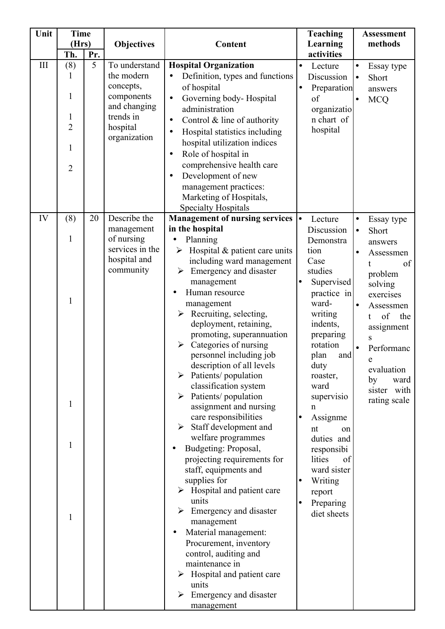| Unit | <b>Time</b>                                            |     |                                                                                                                 |                                                                                                                                                                                                                                                                                                                                                                                                                                                                                                                                                                                                                                                                                                                                                                                                                                                                                                                                                                         |                        | <b>Teaching</b>                                                                                                                                                                                                                                                                                                                                       |                                                  | <b>Assessment</b>                                                                                                                                                                                                     |
|------|--------------------------------------------------------|-----|-----------------------------------------------------------------------------------------------------------------|-------------------------------------------------------------------------------------------------------------------------------------------------------------------------------------------------------------------------------------------------------------------------------------------------------------------------------------------------------------------------------------------------------------------------------------------------------------------------------------------------------------------------------------------------------------------------------------------------------------------------------------------------------------------------------------------------------------------------------------------------------------------------------------------------------------------------------------------------------------------------------------------------------------------------------------------------------------------------|------------------------|-------------------------------------------------------------------------------------------------------------------------------------------------------------------------------------------------------------------------------------------------------------------------------------------------------------------------------------------------------|--------------------------------------------------|-----------------------------------------------------------------------------------------------------------------------------------------------------------------------------------------------------------------------|
|      | (Hrs)<br>Th.                                           | Pr. | Objectives                                                                                                      | Content                                                                                                                                                                                                                                                                                                                                                                                                                                                                                                                                                                                                                                                                                                                                                                                                                                                                                                                                                                 |                        | Learning<br>activities                                                                                                                                                                                                                                                                                                                                |                                                  | methods                                                                                                                                                                                                               |
| III  | (8)<br>1<br>1<br>$\overline{2}$<br>1<br>$\overline{2}$ | 5   | To understand<br>the modern<br>concepts,<br>components<br>and changing<br>trends in<br>hospital<br>organization | <b>Hospital Organization</b><br>Definition, types and functions<br>$\bullet$<br>of hospital<br>Governing body-Hospital<br>$\bullet$<br>administration<br>Control $&$ line of authority<br>$\bullet$<br>Hospital statistics including<br>$\bullet$<br>hospital utilization indices<br>Role of hospital in<br>$\bullet$<br>comprehensive health care<br>Development of new<br>$\bullet$<br>management practices:<br>Marketing of Hospitals,<br><b>Specialty Hospitals</b>                                                                                                                                                                                                                                                                                                                                                                                                                                                                                                 | $\bullet$<br>$\bullet$ | Lecture<br>Discussion<br>Preparation<br>of<br>organizatio<br>n chart of<br>hospital                                                                                                                                                                                                                                                                   | $\bullet$<br>$\bullet$<br>$\bullet$              | Essay type<br>Short<br>answers<br><b>MCQ</b>                                                                                                                                                                          |
| IV   | (8)<br>$\mathbf{1}$<br>1<br>1<br>1<br>$\mathbf{1}$     | 20  | Describe the<br>management<br>of nursing<br>services in the<br>hospital and<br>community                        | <b>Management of nursing services</b><br>in the hospital<br>Planning<br>Hospital & patient care units<br>≻<br>including ward management<br>Emergency and disaster<br>management<br>Human resource<br>management<br>Recruiting, selecting,<br>deployment, retaining,<br>promoting, superannuation<br>Categories of nursing<br>$\blacktriangleright$<br>personnel including job<br>description of all levels<br>Patients/population<br>classification system<br>$\triangleright$ Patients/population<br>assignment and nursing<br>care responsibilities<br>Staff development and<br>welfare programmes<br>Budgeting: Proposal,<br>projecting requirements for<br>staff, equipments and<br>supplies for<br>Hospital and patient care<br>➤<br>units<br>Emergency and disaster<br>management<br>Material management:<br>Procurement, inventory<br>control, auditing and<br>maintenance in<br>Hospital and patient care<br>➤<br>units<br>Emergency and disaster<br>management | $\bullet$              | Lecture<br>Discussion<br>Demonstra<br>tion<br>Case<br>studies<br>Supervised<br>practice in<br>ward-<br>writing<br>indents,<br>preparing<br>rotation<br>plan<br>and<br>duty<br>roaster,<br>ward<br>supervisio<br>n<br>Assignme<br>nt<br>on<br>duties and<br>responsibi<br>lities<br>of<br>ward sister<br>Writing<br>report<br>Preparing<br>diet sheets | $\bullet$<br>$\bullet$<br>$\bullet$<br>$\bullet$ | Essay type<br>Short<br>answers<br>Assessmen<br>of<br>problem<br>solving<br>exercises<br>Assessmen<br>of<br>the<br>t.<br>assignment<br>S<br>Performanc<br>e<br>evaluation<br>by<br>ward<br>sister with<br>rating scale |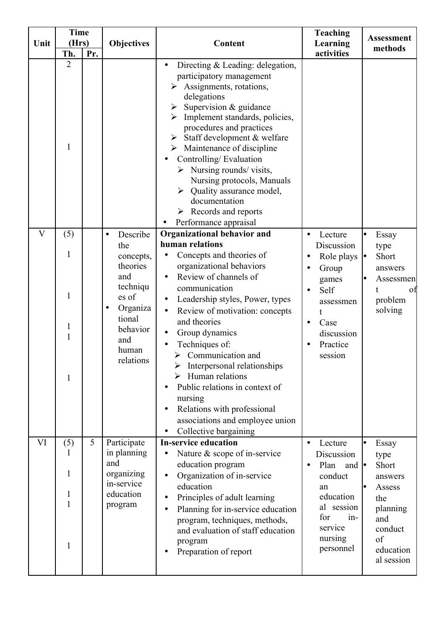| Unit                    | <b>Time</b><br>(Hrs)                                                     |     | <b>Objectives</b>                                                                                                                    | <b>Teaching</b><br>Learning<br>Content                                                                                                                                                                                                                                                                                                                                                                                                                                                                                          |                                                                                                                                               |                                                                                                                   |  |  | <b>Assessment</b> |
|-------------------------|--------------------------------------------------------------------------|-----|--------------------------------------------------------------------------------------------------------------------------------------|---------------------------------------------------------------------------------------------------------------------------------------------------------------------------------------------------------------------------------------------------------------------------------------------------------------------------------------------------------------------------------------------------------------------------------------------------------------------------------------------------------------------------------|-----------------------------------------------------------------------------------------------------------------------------------------------|-------------------------------------------------------------------------------------------------------------------|--|--|-------------------|
|                         | Th.                                                                      | Pr. |                                                                                                                                      |                                                                                                                                                                                                                                                                                                                                                                                                                                                                                                                                 | activities                                                                                                                                    | methods                                                                                                           |  |  |                   |
|                         | $\overline{2}$<br>$\mathbf{1}$                                           |     |                                                                                                                                      | Directing $&$ Leading: delegation,<br>$\bullet$<br>participatory management<br>Assignments, rotations,<br>delegations<br>Supervision & guidance<br>Implement standards, policies,<br>$\blacktriangleright$<br>procedures and practices<br>Staff development & welfare<br>Maintenance of discipline<br>Controlling/Evaluation<br>Nursing rounds/ visits,<br>Nursing protocols, Manuals<br>$\triangleright$ Quality assurance model,<br>documentation<br>Records and reports<br>➤<br>Performance appraisal                        |                                                                                                                                               |                                                                                                                   |  |  |                   |
| $\overline{\mathbf{V}}$ | (5)                                                                      |     | Describe<br>$\bullet$                                                                                                                | <b>Organizational behavior and</b>                                                                                                                                                                                                                                                                                                                                                                                                                                                                                              | Lecture<br>$\bullet$                                                                                                                          | Essay                                                                                                             |  |  |                   |
|                         | 1<br>1<br>$\mathbf{1}$<br>$\mathbf{1}$<br>1                              |     | the<br>concepts,<br>theories<br>and<br>techniqu<br>es of<br>Organiza<br>$\bullet$<br>tional<br>behavior<br>and<br>human<br>relations | human relations<br>Concepts and theories of<br>organizational behaviors<br>Review of channels of<br>$\bullet$<br>communication<br>Leadership styles, Power, types<br>$\bullet$<br>Review of motivation: concepts<br>$\bullet$<br>and theories<br>Group dynamics<br>$\bullet$<br>Techniques of:<br>Communication and<br>➤<br>Interpersonal relationships<br>Human relations<br>Public relations in context of<br>nursing<br>Relations with professional<br>$\bullet$<br>associations and employee union<br>Collective bargaining | Discussion<br>Role plays<br>Group<br>games<br>Self<br>assessmen<br>t<br>Case<br>$\bullet$<br>discussion<br>Practice<br>session                | type<br>Short<br>answers<br>Assessmen<br>t.<br>οf<br>problem<br>solving                                           |  |  |                   |
| VI                      | (5)<br>1<br>$\mathbf{1}$<br>$\mathbf{1}$<br>$\mathbf{1}$<br>$\mathbf{1}$ | 5   | Participate<br>in planning<br>and<br>organizing<br>in-service<br>education<br>program                                                | <b>In-service education</b><br>Nature & scope of in-service<br>$\bullet$<br>education program<br>Organization of in-service<br>$\bullet$<br>education<br>Principles of adult learning<br>$\bullet$<br>Planning for in-service education<br>$\bullet$<br>program, techniques, methods,<br>and evaluation of staff education<br>program<br>Preparation of report                                                                                                                                                                  | Lecture<br>Discussion<br>Plan<br>and $\bullet$<br>conduct<br>an<br>education<br>al session<br>for<br>$in-$<br>service<br>nursing<br>personnel | Essay<br>type<br>Short<br>answers<br>Assess<br>the<br>planning<br>and<br>conduct<br>of<br>education<br>al session |  |  |                   |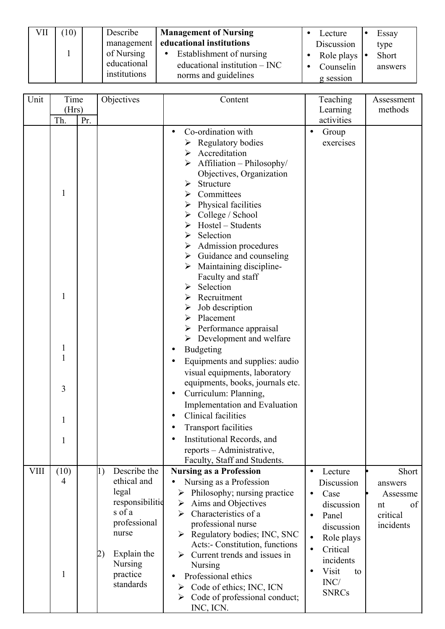| 10) | Describe                    | <b>Management of Nursing</b>    | Lecture                  | Essay   |
|-----|-----------------------------|---------------------------------|--------------------------|---------|
|     | management                  | educational institutions        | Discussion               | type    |
|     | of Nursing                  | Establishment of nursing        | Role plays $  \bullet  $ | Short   |
|     | educational<br>institutions | educational institution $-$ INC | Counselin                | answers |
|     |                             | norms and guidelines            | g session                |         |

| Unit        | Time  |     | Objectives                       | Content                                                                        | Teaching                | Assessment |
|-------------|-------|-----|----------------------------------|--------------------------------------------------------------------------------|-------------------------|------------|
|             | (Hrs) |     |                                  |                                                                                | Learning                | methods    |
|             | Th.   | Pr. |                                  |                                                                                | activities              |            |
|             |       |     |                                  | Co-ordination with                                                             | Group                   |            |
|             |       |     |                                  | <b>Regulatory bodies</b>                                                       | exercises               |            |
|             |       |     |                                  | Accreditation<br>➤                                                             |                         |            |
|             |       |     |                                  | Affiliation - Philosophy/                                                      |                         |            |
|             |       |     |                                  | Objectives, Organization                                                       |                         |            |
|             |       |     |                                  | Structure<br>➤                                                                 |                         |            |
|             | 1     |     |                                  | Committees                                                                     |                         |            |
|             |       |     |                                  | Physical facilities                                                            |                         |            |
|             |       |     |                                  | College / School<br>➤                                                          |                         |            |
|             |       |     |                                  | Hostel - Students                                                              |                         |            |
|             |       |     |                                  | Selection<br>➤                                                                 |                         |            |
|             |       |     |                                  | Admission procedures<br>➤<br>Guidance and counseling                           |                         |            |
|             |       |     |                                  | ➤<br>Maintaining discipline-                                                   |                         |            |
|             |       |     |                                  | Faculty and staff                                                              |                         |            |
|             |       |     |                                  | Selection<br>➤                                                                 |                         |            |
|             | 1     |     |                                  | Recruitment                                                                    |                         |            |
|             |       |     |                                  | Job description<br>➤                                                           |                         |            |
|             |       |     |                                  | Placement<br>➤                                                                 |                         |            |
|             |       |     |                                  | Performance appraisal                                                          |                         |            |
|             |       |     |                                  | $\triangleright$ Development and welfare                                       |                         |            |
|             | 1     |     |                                  | <b>Budgeting</b><br>٠                                                          |                         |            |
|             | 1     |     |                                  | Equipments and supplies: audio                                                 |                         |            |
|             |       |     |                                  | visual equipments, laboratory                                                  |                         |            |
|             |       |     |                                  | equipments, books, journals etc.                                               |                         |            |
|             | 3     |     |                                  | Curriculum: Planning,                                                          |                         |            |
|             |       |     |                                  | Implementation and Evaluation                                                  |                         |            |
|             | 1     |     |                                  | Clinical facilities                                                            |                         |            |
|             |       |     |                                  | <b>Transport facilities</b>                                                    |                         |            |
|             | 1     |     |                                  | Institutional Records, and                                                     |                         |            |
|             |       |     |                                  | reports - Administrative,                                                      |                         |            |
|             |       |     |                                  | Faculty, Staff and Students.                                                   |                         |            |
| <b>VIII</b> | (10)  |     | Describe the<br>$\left(1\right)$ | <b>Nursing as a Profession</b>                                                 | Lecture                 | Short      |
|             | 4     |     | ethical and                      | Nursing as a Profession                                                        | Discussion              | answers    |
|             |       |     | legal                            | Philosophy; nursing practice<br>➤                                              | Case<br>$\bullet$       | Assessme   |
|             |       |     | responsibilitie                  | Aims and Objectives<br>➤                                                       | discussion              | of<br>nt   |
|             |       |     | s of a<br>professional           | Characteristics of a<br>↘                                                      | Panel<br>$\bullet$      | critical   |
|             |       |     | nurse                            | professional nurse                                                             | discussion              | incidents  |
|             |       |     |                                  | $\triangleright$ Regulatory bodies; INC, SNC<br>Acts:- Constitution, functions | Role plays<br>$\bullet$ |            |
|             |       |     | Explain the<br>2)                | Current trends and issues in<br>$\blacktriangleright$                          | Critical<br>$\bullet$   |            |
|             |       |     | <b>Nursing</b>                   | Nursing                                                                        | incidents               |            |
|             | 1     |     | practice                         | Professional ethics                                                            | Visit<br>to             |            |
|             |       |     | standards                        | Code of ethics; INC, ICN<br>➤                                                  | INC/                    |            |
|             |       |     |                                  | $\triangleright$ Code of professional conduct;                                 | <b>SNRCs</b>            |            |
|             |       |     |                                  | INC, ICN.                                                                      |                         |            |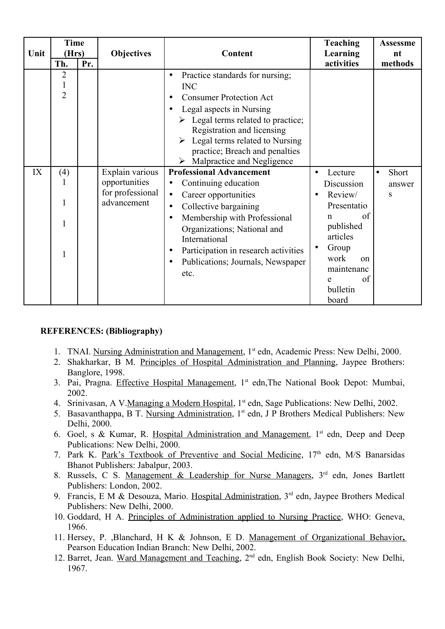|      | <b>Time</b>         |     |                   |                                                                                                                                                                                                                                                                                                                                                          | <b>Teaching</b>                                                        | <b>Assessme</b>    |
|------|---------------------|-----|-------------------|----------------------------------------------------------------------------------------------------------------------------------------------------------------------------------------------------------------------------------------------------------------------------------------------------------------------------------------------------------|------------------------------------------------------------------------|--------------------|
| Unit | (Hrs)               |     | <b>Objectives</b> | Content                                                                                                                                                                                                                                                                                                                                                  |                                                                        | nt                 |
|      | Th.                 | Pr. |                   |                                                                                                                                                                                                                                                                                                                                                          | activities                                                             | methods            |
|      | 2<br>$\overline{2}$ |     |                   | Practice standards for nursing;<br>$\bullet$<br><b>INC</b><br><b>Consumer Protection Act</b><br>$\bullet$<br>Legal aspects in Nursing<br>$\bullet$<br>$\triangleright$ Legal terms related to practice;<br>Registration and licensing<br>Legal terms related to Nursing<br>practice; Breach and penalties<br>$\triangleright$ Malpractice and Negligence |                                                                        |                    |
| IX   | (4)                 |     | Explain various   | <b>Professional Advancement</b>                                                                                                                                                                                                                                                                                                                          | Lecture                                                                | Short<br>$\bullet$ |
|      |                     |     | opportunities     | Continuing education<br>$\bullet$                                                                                                                                                                                                                                                                                                                        | Discussion                                                             | answer             |
|      |                     |     | for professional  | Career opportunities<br>$\bullet$                                                                                                                                                                                                                                                                                                                        | Review/                                                                | S                  |
|      | 1                   |     | advancement       | Collective bargaining<br>$\bullet$                                                                                                                                                                                                                                                                                                                       | Presentatio                                                            |                    |
|      |                     |     |                   | Membership with Professional<br>$\bullet$<br>Organizations; National and<br>International                                                                                                                                                                                                                                                                | of<br>$\mathbf n$<br>published<br>articles                             |                    |
|      |                     |     |                   | Participation in research activities<br>$\bullet$<br>Publications; Journals, Newspaper<br>$\bullet$<br>etc.                                                                                                                                                                                                                                              | Group<br>work<br>$^{on}$<br>maintenanc<br>of<br>e<br>bulletin<br>board |                    |

#### **REFERENCES: (Bibliography)**

- 1. TNAI. Nursing Administration and Management, 1<sup>st</sup> edn, Academic Press: New Delhi, 2000.
- 2. Shakharkar, B M. Principles of Hospital Administration and Planning, Jaypee Brothers: Banglore, 1998.
- 3. Pai, Pragna. Effective Hospital Management, 1<sup>st</sup> edn, The National Book Depot: Mumbai, 2002.
- 4. Srinivasan, A V. Managing a Modern Hospital, 1<sup>st</sup> edn, Sage Publications: New Delhi, 2002.
- 5. Basavanthappa, B T. Nursing Administration, 1<sup>st</sup> edn, J P Brothers Medical Publishers: New Delhi, 2000.
- 6. Goel, s & Kumar, R. Hospital Administration and Management, 1<sup>st</sup> edn, Deep and Deep Publications: New Delhi, 2000.
- 7. Park K. Park's Textbook of Preventive and Social Medicine, 17<sup>th</sup> edn, M/S Banarsidas Bhanot Publishers: Jabalpur, 2003.
- 8. Russels, C S. Management & Leadership for Nurse Managers, 3<sup>rd</sup> edn, Jones Bartlett Publishers: London, 2002.
- 9. Francis, E M & Desouza, Mario. Hospital Administration, 3<sup>rd</sup> edn, Jaypee Brothers Medical Publishers: New Delhi, 2000.
- 10. Goddard, H A. Principles of Administration applied to Nursing Practice, WHO: Geneva, 1966.
- 11. Hersey, P. ,Blanchard, H K & Johnson, E D. Management of Organizational Behavior, Pearson Education Indian Branch: New Delhi, 2002.
- 12. Barret, Jean. Ward Management and Teaching, 2<sup>nd</sup> edn, English Book Society: New Delhi, 1967.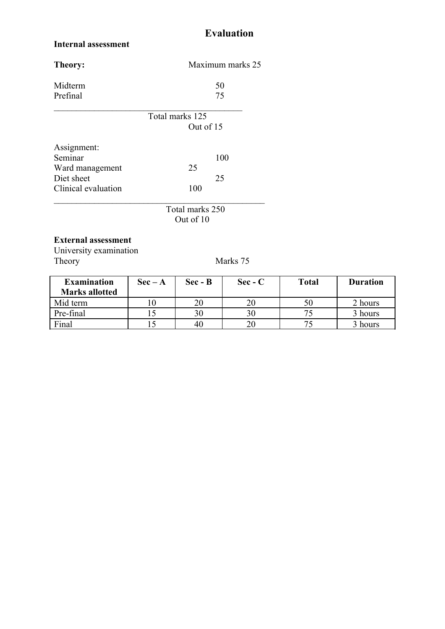## **Evaluation**

#### **Internal assessment**

| Theory:             | Maximum marks 25 |
|---------------------|------------------|
| Midterm             | 50               |
| Prefinal            | 75               |
|                     | Total marks 125  |
|                     | Out of 15        |
| Assignment:         |                  |
| Seminar             | 100              |
| Ward management     | 25               |
| Diet sheet          | 25               |
| Clinical evaluation | 100              |
|                     | Total marks 250  |
|                     | Out of 10        |
|                     |                  |

#### **External assessment**

University examination Theory Marks 75

| <b>Examination</b>    | $\text{Sec} - \text{A}$ | $Sec - B$ | $\rm Sec - C$ | <b>Total</b> | <b>Duration</b> |
|-----------------------|-------------------------|-----------|---------------|--------------|-----------------|
| <b>Marks allotted</b> |                         |           |               |              |                 |
| Mid term              |                         | 20        |               | 50           | 2 hours         |
| Pre-final             |                         | 30        |               |              | 3 hours         |
| Final                 |                         | 40        |               |              | 3 hours         |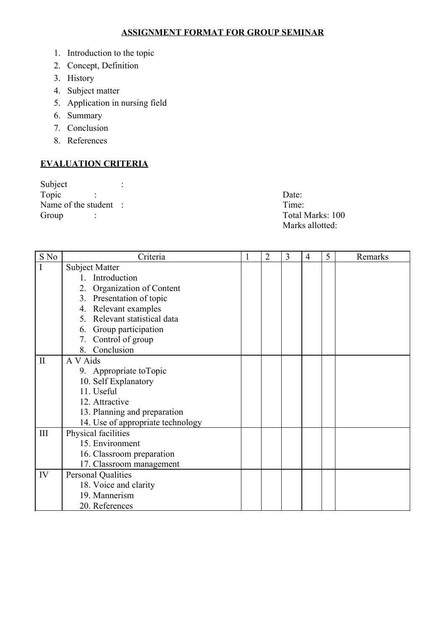#### **ASSIGNMENT FORMAT FOR GROUP SEMINAR**

- 1. Introduction to the topic
- 2. Concept, Definition
- 3. History
- 4. Subject matter
- 5. Application in nursing field
- 6. Summary
- 7. Conclusion
- 8. References

### **EVALUATION CRITERIA**

Subject :<br>Topic : Topic : Date: Name of the student : Time: Group : Total Marks: 100

Marks allotted:

| S No         | Criteria                          | 1 | $\overline{2}$ | 3 | 4 | 5 | Remarks |
|--------------|-----------------------------------|---|----------------|---|---|---|---------|
| $\mathbf I$  | Subject Matter                    |   |                |   |   |   |         |
|              | 1. Introduction                   |   |                |   |   |   |         |
|              | 2. Organization of Content        |   |                |   |   |   |         |
|              | 3. Presentation of topic          |   |                |   |   |   |         |
|              | 4. Relevant examples              |   |                |   |   |   |         |
|              | 5. Relevant statistical data      |   |                |   |   |   |         |
|              | 6. Group participation            |   |                |   |   |   |         |
|              | 7. Control of group               |   |                |   |   |   |         |
|              | 8. Conclusion                     |   |                |   |   |   |         |
| $\mathbf{I}$ | A V Aids                          |   |                |   |   |   |         |
|              | 9. Appropriate to Topic           |   |                |   |   |   |         |
|              | 10. Self Explanatory              |   |                |   |   |   |         |
|              | 11. Useful                        |   |                |   |   |   |         |
|              | 12. Attractive                    |   |                |   |   |   |         |
|              | 13. Planning and preparation      |   |                |   |   |   |         |
|              | 14. Use of appropriate technology |   |                |   |   |   |         |
| III          | Physical facilities               |   |                |   |   |   |         |
|              | 15. Environment                   |   |                |   |   |   |         |
|              | 16. Classroom preparation         |   |                |   |   |   |         |
|              | 17. Classroom management          |   |                |   |   |   |         |
| IV           | <b>Personal Qualities</b>         |   |                |   |   |   |         |
|              | 18. Voice and clarity             |   |                |   |   |   |         |
|              | 19. Mannerism                     |   |                |   |   |   |         |
|              | 20. References                    |   |                |   |   |   |         |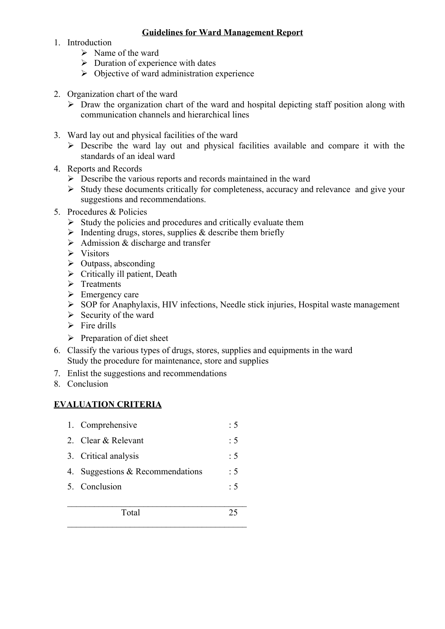#### **Guidelines for Ward Management Report**

- 1. Introduction
	- $\triangleright$  Name of the ward
	- $\triangleright$  Duration of experience with dates
	- $\triangleright$  Objective of ward administration experience
- 2. Organization chart of the ward
	- $\triangleright$  Draw the organization chart of the ward and hospital depicting staff position along with communication channels and hierarchical lines
- 3. Ward lay out and physical facilities of the ward
	- $\triangleright$  Describe the ward lay out and physical facilities available and compare it with the standards of an ideal ward
- 4. Reports and Records
	- $\triangleright$  Describe the various reports and records maintained in the ward
	- $\triangleright$  Study these documents critically for completeness, accuracy and relevance and give your suggestions and recommendations.
- 5. Procedures & Policies
	- $\triangleright$  Study the policies and procedures and critically evaluate them
	- $\triangleright$  Indenting drugs, stores, supplies & describe them briefly
	- $\triangleright$  Admission & discharge and transfer
	- $\triangleright$  Visitors
	- $\triangleright$  Outpass, absconding
	- $\triangleright$  Critically ill patient, Death
	- $\triangleright$  Treatments
	- $\triangleright$  Emergency care
	- $\triangleright$  SOP for Anaphylaxis, HIV infections, Needle stick injuries, Hospital waste management
	- $\triangleright$  Security of the ward
	- $\triangleright$  Fire drills
	- $\triangleright$  Preparation of diet sheet
- 6. Classify the various types of drugs, stores, supplies and equipments in the ward Study the procedure for maintenance, store and supplies
- 7. Enlist the suggestions and recommendations
- 8. Conclusion

#### **EVALUATION CRITERIA**

| 1. Comprehensive                 | $\cdot$ 5      |
|----------------------------------|----------------|
| 2 Clear & Relevant               | $\therefore$ 5 |
| 3. Critical analysis             | $\therefore$ 5 |
| 4. Suggestions & Recommendations | : 5            |
| 5. Conclusion                    | $\cdot$ 5      |
|                                  |                |

 $\mathcal{L}_\text{max}$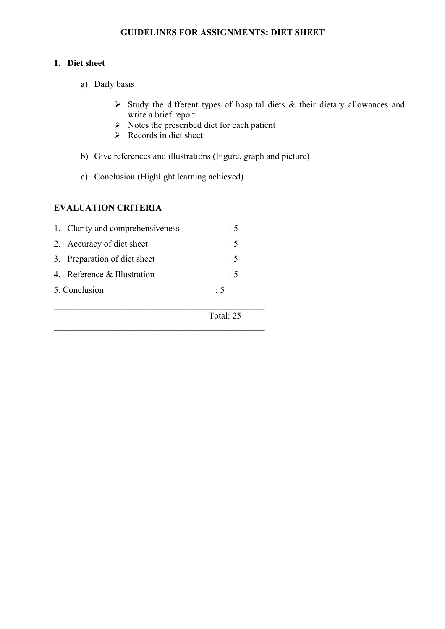#### **GUIDELINES FOR ASSIGNMENTS: DIET SHEET**

#### **1. Diet sheet**

- a) Daily basis
	- $\triangleright$  Study the different types of hospital diets & their dietary allowances and write a brief report
	- $\triangleright$  Notes the prescribed diet for each patient
	- $\triangleright$  Records in diet sheet
- b) Give references and illustrations (Figure, graph and picture)
- c) Conclusion (Highlight learning achieved)

#### **EVALUATION CRITERIA**

| 1. Clarity and comprehensiveness | : 5            |
|----------------------------------|----------------|
| 2. Accuracy of diet sheet        | $\therefore$ 5 |
| 3. Preparation of diet sheet     | $\cdot$ 5      |
| 4. Reference & Illustration      | :5             |
| 5. Conclusion                    | $\cdot$ 5      |
|                                  |                |

 $\mathcal{L}_\text{max}$  , and the contract of the contract of the contract of the contract of the contract of the contract of the contract of the contract of the contract of the contract of the contract of the contract of the contr

 $\mathcal{L}_\text{max}$  , and the contract of the contract of the contract of the contract of the contract of the contract of the contract of the contract of the contract of the contract of the contract of the contract of the contr

Total: 25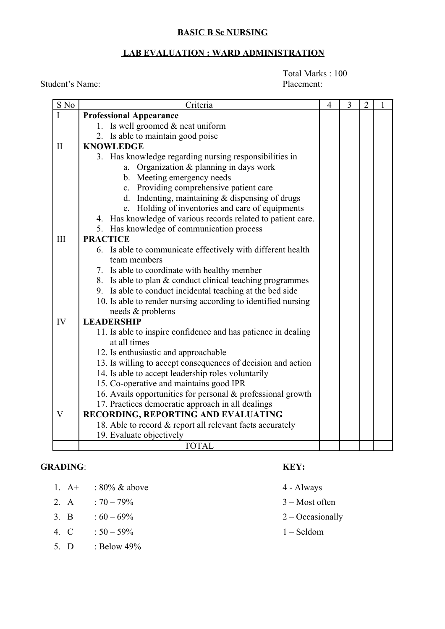#### **BASIC B Sc NURSING**

#### **LAB EVALUATION : WARD ADMINISTRATION**

Total Marks : 100

| S No           | Criteria                                                      | $\overline{4}$ | 3 | $\overline{2}$ | 1 |
|----------------|---------------------------------------------------------------|----------------|---|----------------|---|
| $\overline{I}$ | <b>Professional Appearance</b>                                |                |   |                |   |
|                | 1. Is well groomed $&$ neat uniform                           |                |   |                |   |
|                | 2. Is able to maintain good poise                             |                |   |                |   |
| $\mathbf{I}$   | <b>KNOWLEDGE</b>                                              |                |   |                |   |
|                | 3. Has knowledge regarding nursing responsibilities in        |                |   |                |   |
|                | a. Organization $&$ planning in days work                     |                |   |                |   |
|                | b. Meeting emergency needs                                    |                |   |                |   |
|                | c. Providing comprehensive patient care                       |                |   |                |   |
|                | d. Indenting, maintaining $&$ dispensing of drugs             |                |   |                |   |
|                | e. Holding of inventories and care of equipments              |                |   |                |   |
|                | 4. Has knowledge of various records related to patient care.  |                |   |                |   |
|                | 5. Has knowledge of communication process                     |                |   |                |   |
| III            | <b>PRACTICE</b>                                               |                |   |                |   |
|                | 6. Is able to communicate effectively with different health   |                |   |                |   |
|                | team members                                                  |                |   |                |   |
|                | 7. Is able to coordinate with healthy member                  |                |   |                |   |
|                | 8. Is able to plan & conduct clinical teaching programmes     |                |   |                |   |
|                | 9. Is able to conduct incidental teaching at the bed side     |                |   |                |   |
|                | 10. Is able to render nursing according to identified nursing |                |   |                |   |
|                | needs & problems                                              |                |   |                |   |
| IV             | <b>LEADERSHIP</b>                                             |                |   |                |   |
|                | 11. Is able to inspire confidence and has patience in dealing |                |   |                |   |
|                | at all times                                                  |                |   |                |   |
|                | 12. Is enthusiastic and approachable                          |                |   |                |   |
|                | 13. Is willing to accept consequences of decision and action  |                |   |                |   |
|                | 14. Is able to accept leadership roles voluntarily            |                |   |                |   |
|                | 15. Co-operative and maintains good IPR                       |                |   |                |   |
|                | 16. Avails opportunities for personal & professional growth   |                |   |                |   |
|                | 17. Practices democratic approach in all dealings             |                |   |                |   |
| $\mathbf{V}$   | RECORDING, REPORTING AND EVALUATING                           |                |   |                |   |
|                | 18. Able to record & report all relevant facts accurately     |                |   |                |   |
|                | 19. Evaluate objectively                                      |                |   |                |   |
|                | <b>TOTAL</b>                                                  |                |   |                |   |

#### **GRADING**: **KEY:**

- 1.  $A+$  : 80% & above 4 Always
- 2. A :  $70 79\%$  3 Most often
- 3. B :  $60 69\%$  2 Occasionally
- 4. C : 50 59% 1 Seldom
- 5. D : Below 49%
- 
- 
- 
- 

Student's Name: Placement: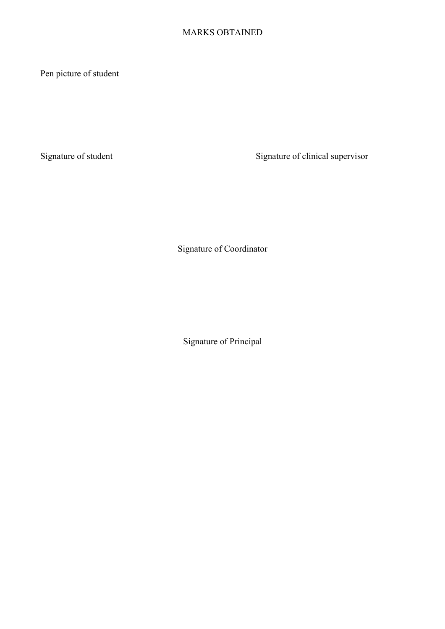#### MARKS OBTAINED

Pen picture of student

Signature of student Signature of clinical supervisor

Signature of Coordinator

Signature of Principal